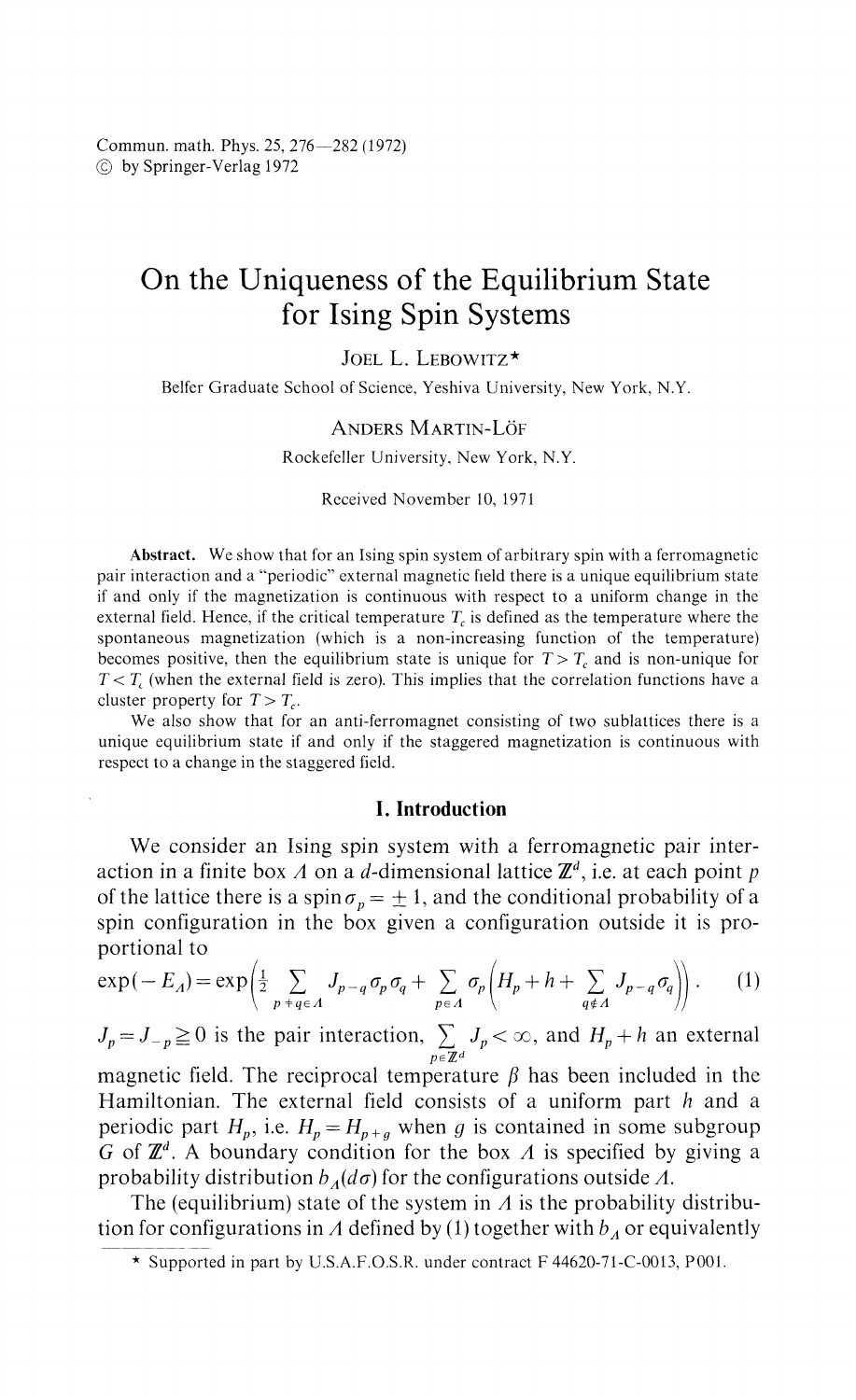# On the Uniqueness of the Equilibrium State for Ising Spin Systems

JOEL L. LEBOWITZ\*

Belfer Graduate School of Science, Yeshiva University, New York, N.Y.

### ANDERS MARTIN-LOF

Rockefeller University, New York, N.Y.

Received November 10, 1971

**Abstract.** We show that for an Ising spin system of arbitrary spin with a ferromagnetic pair interaction and a "periodic" external magnetic field there is a unique equilibrium state if and only if the magnetization is continuous with respect to a uniform change in the external field. Hence, if the critical temperature  $T_c$  is defined as the temperature where the spontaneous magnetization (which is a non-increasing function of the temperature) becomes positive, then the equilibrium state is unique for  $T > T_c$  and is non-unique for  $T < T_c$  (when the external field is zero). This implies that the correlation functions have a cluster property for  $T > T_c$ .

We also show that for an anti-ferromagnet consisting of two sublattices there is a unique equilibrium state if and only if the staggered magnetization is continuous with respect to a change in the staggered field.

## I. Introduction

We consider an Ising spin system with a ferromagnetic pair inter action in a finite box *A* on a d-dimensional lattice *Έ d ,* i.e. at each point *p* of the lattice there is a spin  $\sigma_p = \pm 1,$  and the conditional probability of a spin configuration in the box given a configuration outside it is pro portional to

$$
\exp(-E_A) = \exp\left(\frac{1}{2} \sum_{p+q \in A} J_{p-q} \sigma_p \sigma_q + \sum_{p \in A} \sigma_p \left(H_p + h + \sum_{q \notin A} J_{p-q} \sigma_q\right)\right). \tag{1}
$$

 $J_p = J_{-p} \geq 0$  is the pair interaction,  $\sum J_p < \infty$ , and  $H_p + h$  an external *peΈ d*

magnetic field. The reciprocal temperature *β* has been included in the Hamiltonian. The external field consists of a uniform part *h* and a periodic part  $H_p$ , i.e.  $H_p = H_{p+g}$  when g is contained in some subgroup *G* of  $\mathbb{Z}^d$ . A boundary condition for the box A is specified by giving a probability distribution  $b_4(d\sigma)$  for the configurations outside  $\Lambda$ .

The (equilibrium) state of the system in *A* is the probability distribu tion for configurations in A defined by (1) together with  $b_A$  or equivalently

<sup>\*</sup> Supported in part by U.S.A.F.O.S.R. under contract F 44620-7l-C-0013, POOL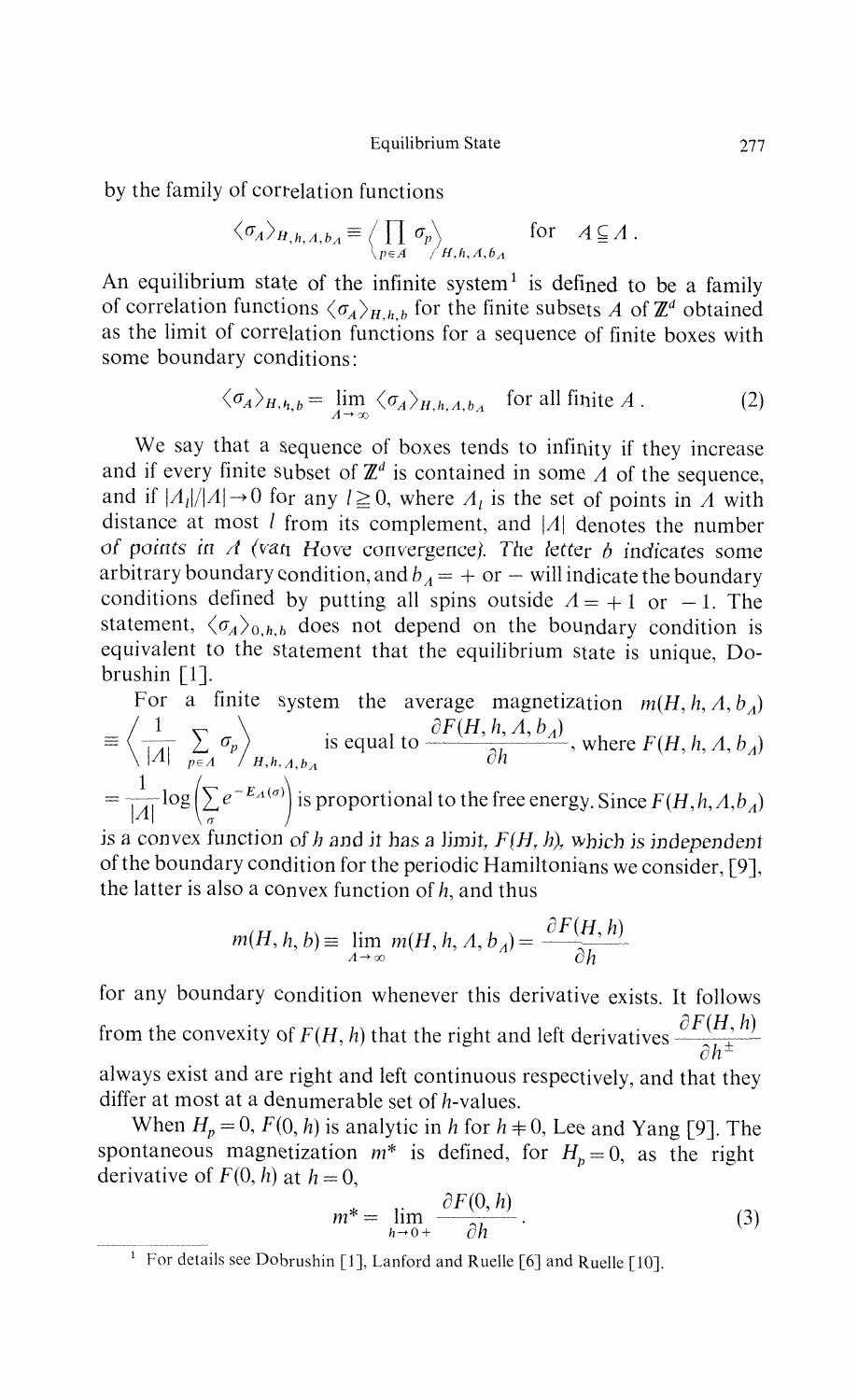Equilibrium State 277

by the family of correlation functions

$$
\langle \sigma_A \rangle_{H,h,A,b_A} \equiv \left\langle \prod_{p \in A} \sigma_p \right\rangle_{H,h,A,b_A} \quad \text{for} \quad A \subseteq A.
$$

An equilibrium state of the infinite system<sup>1</sup> is defined to be a family of correlation functions  $\langle \sigma_A \rangle_{H,h,b}$  for the finite subsets *A* of  $\mathbb{Z}^d$  obtained as the limit of correlation functions for a sequence of finite boxes with some boundary conditions:

$$
\langle \sigma_A \rangle_{H, h, b} = \lim_{A \to \infty} \langle \sigma_A \rangle_{H, h, A, b_A} \quad \text{for all finite } A \,. \tag{2}
$$

We say that a sequence of boxes tends to infinity if they increase and if every finite subset of  $\mathbb{Z}^d$  is contained in some  $\Lambda$  of the sequence, and if  $|A_l|/|A| \to 0$  for any  $l \ge 0$ , where  $A_l$  is the set of points in A with distance at most / from its complement, and *\A\* denotes the number *of points in A (van Hove* convergence). *The letter b* indicates some arbitrary boundary condition, and  $b_A = +$  or  $-$  will indicate the boundary conditions defined by putting all spins outside  $A = +1$  or  $-1$ . The statement,  $\langle \sigma_A \rangle_{0,h,b}$  does not depend on the boundary condition is equivalent to the statement that the equilibrium state is unique, Do brushin [1].

For a finite system the average magnetization  $m(H, h, A, b_A)$ <br>  $\left\langle \frac{1}{m} \sum_{n} a_n \right\rangle$  is equal to  $\partial F(H, h, A, b_A)$  where  $F(H, h, A, b_A)$  $\overline{|A|}$   $\sum_{p \in A} \sigma_p$  is equal to  $\overline{\sigma_h}$ , where  $F(H, h, A, b_A)$  $\begin{array}{ccccc}\n\begin{array}{ccc}\n\nearrow & P \mid & P \mid A & \land & A, h, A, b_A \\
\end{array}\n\end{array}$  $P\log\left(\sum e^{-E_A(\sigma)}\right)$  is proportional to the free energy. Since  $F(H, h, A, b_A)$ **Ml** is a convex function of h and it has a limit,  $F(H, h)$ , which is independent

of the boundary condition for the periodic Hamiltonians we consider, [9], the latter is also a convex function of *h,* and thus

$$
m(H, h, b) \equiv \lim_{A \to \infty} m(H, h, A, b_A) = \frac{\partial F(H, h)}{\partial h}
$$

*Compary condition whenever this derivative exists. It follows* for any boundary condition whenever this derivative exists. It follows  $\partial F(H, h)$ from the convexity of  $f(x, h)$  that the right and left derivatives  $\partial h^{\pm}$ always exist and are right and left continuous respectively, and that they differ at most at a denumerable set of  $h$ -values.

When  $H_p = 0$ ,  $F(0, h)$  is analytic in h for  $h \neq 0$ , Lee and Yang [9]. The Intaneous magnetization  $m^*$  is defined, for  $H_p = 0$ , as the right derivative of  $F(0, h)$  at  $h = 0$ ,

$$
m^* = \lim_{h \to 0+} \frac{\partial F(0, h)}{\partial h}.
$$
 (3)

 $h \rightarrow 0^+$   $\partial h$ <br><sup>1</sup> For details see Dobrushin [1], Lanford and Ruelle [6] and Ruelle [10].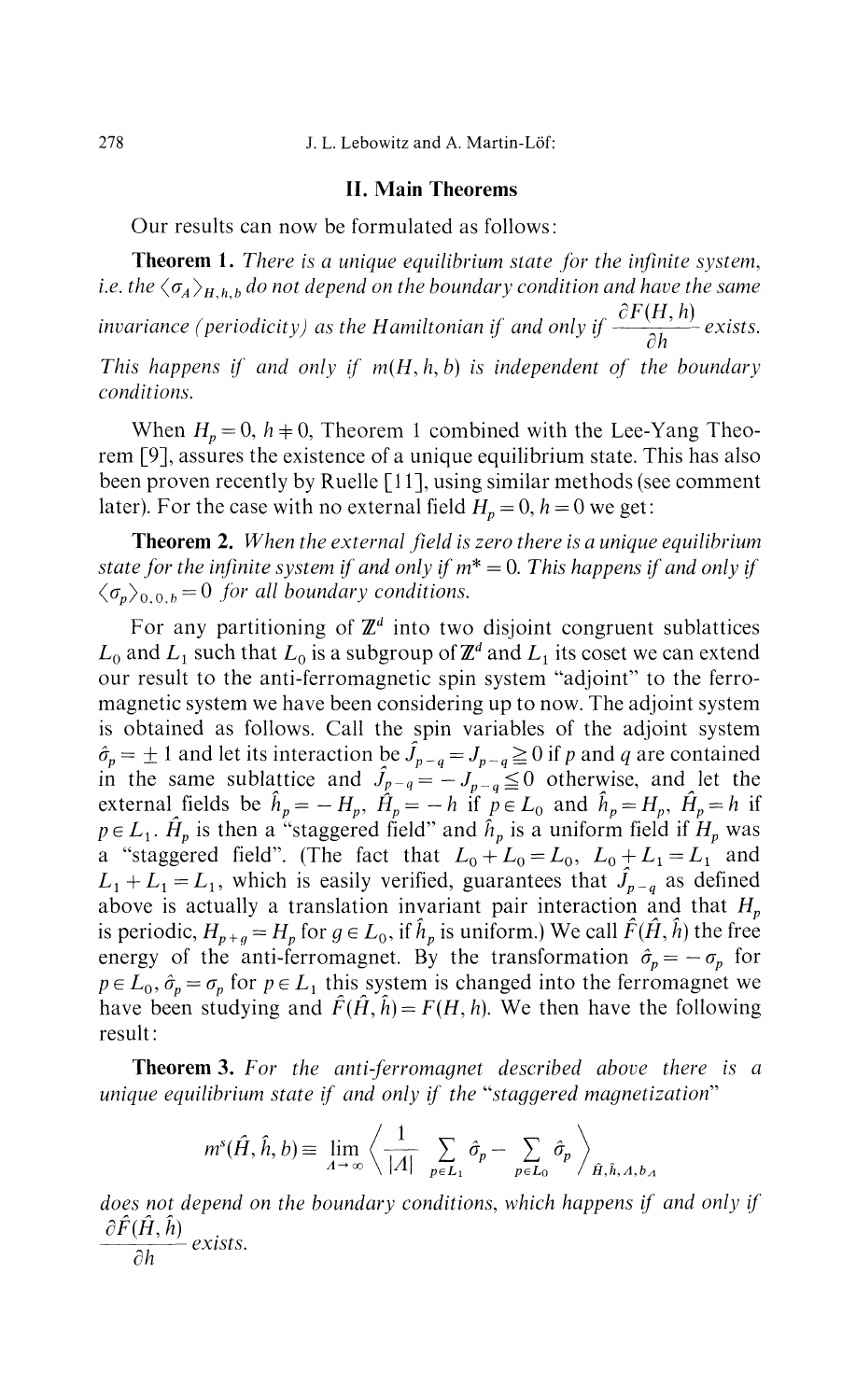#### **II. Main Theorems**

Our results can now be formulated as follows:

**Theorem 1.** *There is a unique equilibrium slate for the infinite system,* i.e. the  $\langle \sigma_A \rangle_{H, h, b}$  do not depend on the boundary condition and have the same *invariance (periodicity) as the Hamiltonian if and only if*  $\frac{\partial F(H, h)}{\partial h}$  *exists. oh This happens if and only if m(H, h, b) is independent of the boundary conditions.*

When  $H_p = 0$ ,  $h \neq 0$ , Theorem 1 combined with the Lee-Yang Theo rem [9], assures the existence of a unique equilibrium state. This has also been proven recently by Ruelle [11], using similar methods (see comment later). For the case with no external field  $H_p = 0$ ,  $h = 0$  we get:

**Theorem 2.** *When the external field is zero there is a unique equilibrium state for the infinite system if and only if m\* =* 0. *This happens if and only if*  $\langle \sigma_p \rangle_{0.0,b} = 0$  for all boundary conditions.

For any partitioning of  $\mathbb{Z}^d$  into two disjoint congruent sublattices  $L_0$  and  $L_1$  such that  $L_0$  is a subgroup of  $\mathbb{Z}^d$  and  $L_1$  its coset we can extend our result to the anti-ferromagnetic spin system "adjoint" to the ferro magnetic system we have been considering up to now. The adjoint system is obtained as follows. Call the spin variables of the adjoint system  $\hat{J}_{p-q} = J_{p-q} \geq 0$  if p and q are contained in the same sublattice and  $\hat{J}_{p-q} = -J_{p-q} \leq 0$  otherwise, and let the external fields be  $\hat{h}_p = -H_p$ ,  $\hat{H}_p = -h$  if  $p \in L_0$  and  $\hat{h}_p = H_p$ ,  $\hat{H}_p = h$  if  $p \in L_1$ .  $\hat{H}_p$  is then a "staggered field" and  $\hat{h}_p$  is a uniform field if  $H_p$  was a "staggered field". (The fact that  $L_0 + L_0 = L_0$ ,  $L_0 + L_1 = L_1$  and  $L_1 + L_1 = L_1$ , which is easily verified, guarantees that  $\hat{J}_{p-q}$  as defined above is actually a translation invariant pair interaction and that *H<sup>p</sup>* is periodic,  $H_{p+q} = H_p$  for  $g \in L_0$ , if  $\hat{h}_p$  is uniform.) We call  $\hat{F}(\hat{H}, \hat{h})$  the free energy of the anti-ferromagnet. By the transformation  $\hat{\sigma}_p = -\sigma_p$  for  $p \in L_0$ ,  $\hat{\sigma}_p = \sigma_p$  for  $p \in L_1$  this system is changed into the ferromagnet we have been studying and  $\hat{F}(\hat{H}, \hat{h}) = F(H, h)$ . We then have the following result:

**Theorem 3.** *For the anti-ferromagnet described above there is a unique equilibrium state if and only if the "staggered magnetization"*

$$
m^{s}(\hat{H},\hat{h},b) \equiv \lim_{A \to \infty} \left\langle \frac{1}{|A|} \sum_{p \in L_{1}} \hat{\sigma}_{p} - \sum_{p \in L_{0}} \hat{\sigma}_{p} \right\rangle_{\hat{H},\hat{h},A,b,A}
$$

*does not depend on the boundary conditions, which happens if and only if*  $\hat{H}(\hat{H}, \hat{h})$  *exists*  $\partial h$  exists.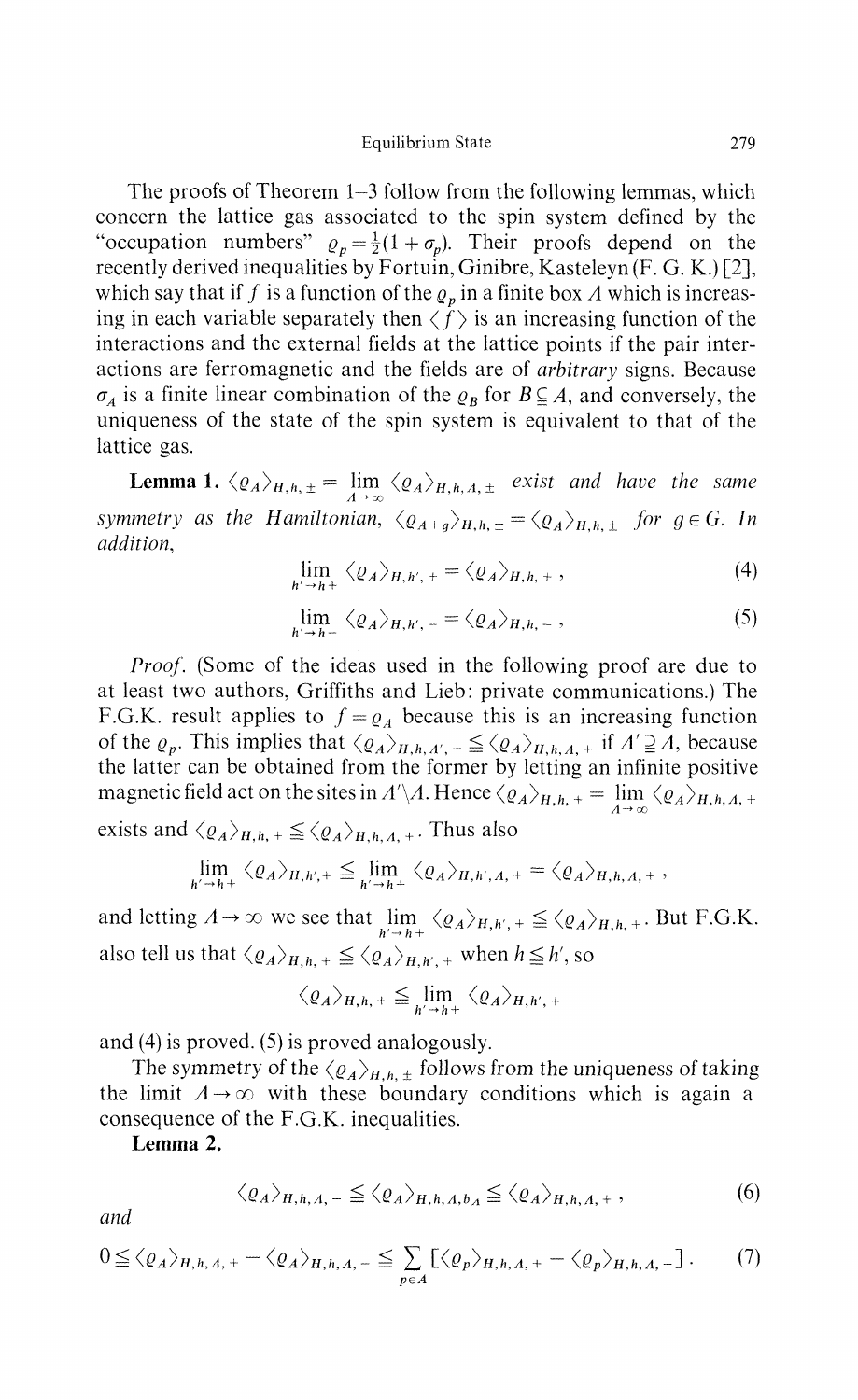#### Equilibrium State 279

The proofs of Theorem 1—3 follow from the following lemmas, which concern the lattice gas associated to the spin system defined by the "occupation numbers"  $\rho_p = \frac{1}{2}(1 + \sigma_p)$ . Their proofs depend on the recently derived inequalities by Fortuin, Ginibre, Kasteleyn (F. G. K.) [2], which say that if  $f$  is a function of the  $\varrho_p$  in a finite box  $A$  which is increas ing in each variable separately then  $\langle f \rangle$  is an increasing function of the interactions and the external fields at the lattice points if the pair inter actions are ferromagnetic and the fields are of *arbitrary* signs. Because *A* is a finite linear combination of the  $\rho_B$  for  $B \subseteq A$ , and conversely, the uniqueness of the state of the spin system is equivalent to that of the lattice gas.

**Lemma 1.**  $\langle \varrho_A \rangle_{H,h,\pm} = \lim_{A \to \infty} \langle \varrho_A \rangle_{H,h,A,\pm}$  exist and have the same *symmetry as the Hamiltonian,*  $\langle \varrho_{A+g} \rangle_{H,h, \pm} = \langle \varrho_A \rangle_{H,h, \pm}$  for  $g \in G$ . In *addition,*

$$
\lim_{h' \to h^+} \langle \varrho_A \rangle_{H, h', +} = \langle \varrho_A \rangle_{H, h, +}, \tag{4}
$$

$$
\lim_{h' \to h^-} \langle \varrho_A \rangle_{H, h', -} = \langle \varrho_A \rangle_{H, h, -}, \tag{5}
$$

*Proof.* (Some of the ideas used in the following proof are due to at least two authors, Griffiths and Lieb: private communications.) The F.G.K. result applies to  $f = \varrho_A$  because this is an increasing function of the  $\rho_p$ . This implies that  $\langle \rho_A \rangle_{H,h,\Lambda',+} \leq \langle \rho_A \rangle_{H,h,\Lambda,+}$  if  $\Lambda' \supseteq \Lambda$ , because the latter can be obtained from the former by letting an infinite positive magnetic field act on the sites in  $A' \setminus A$ . Hence  $\langle \varrho_A \rangle_{H,h,+} = \lim_{h \to 0} \langle \varrho_A \rangle_{H,h,A,+}$ 

exists and  $\langle \varrho_A \rangle_{H,h,+} \leq \langle \varrho_A \rangle_{H,h,A,+}$ . Thus also

*n —\* h ~r*

$$
\lim_{h' \to h^+} \langle \varrho_A \rangle_{H, h', +} \leqq \lim_{h' \to h^+} \langle \varrho_A \rangle_{H, h', A, +} = \langle \varrho_A \rangle_{H, h, A, +},
$$

and letting  $A \rightarrow \infty$  we see that  $\lim_{h \to \infty} \langle \varrho_A \rangle_{H,h',+} \leq \langle \varrho_A \rangle_{H,h,+}$ . But F.G.K. also tell us that  $\langle \varrho_A \rangle_{H,h_1 + \leq \langle \varrho_A \rangle_{H,h',+}}$  when  $h \leq h'$ , so

$$
\langle \varrho_A \rangle_{H, h, +} \leq \lim_{h' \to h^+} \langle \varrho_A \rangle_{H, h', +}
$$

and (4) is proved. (5) is proved analogously.

The symmetry of the  $\langle \varrho_A \rangle_{H,h,\pm}$  follows from the uniqueness of taking the limit  $A \rightarrow \infty$  with these boundary conditions which is again a consequence of the F.G.K. inequalities.

**Lemma 2.**

$$
\langle \varrho_A \rangle_{H,h,A,-} \leq \langle \varrho_A \rangle_{H,h,A,b,A} \leq \langle \varrho_A \rangle_{H,h,A,+}, \qquad (6)
$$

*and*

$$
0 \leq \langle \varrho_A \rangle_{H, h, \Lambda, +} - \langle \varrho_A \rangle_{H, h, \Lambda, -} \leq \sum_{p \in \Lambda} \left[ \langle \varrho_p \rangle_{H, h, \Lambda, +} - \langle \varrho_p \rangle_{H, h, \Lambda, -} \right]. \tag{7}
$$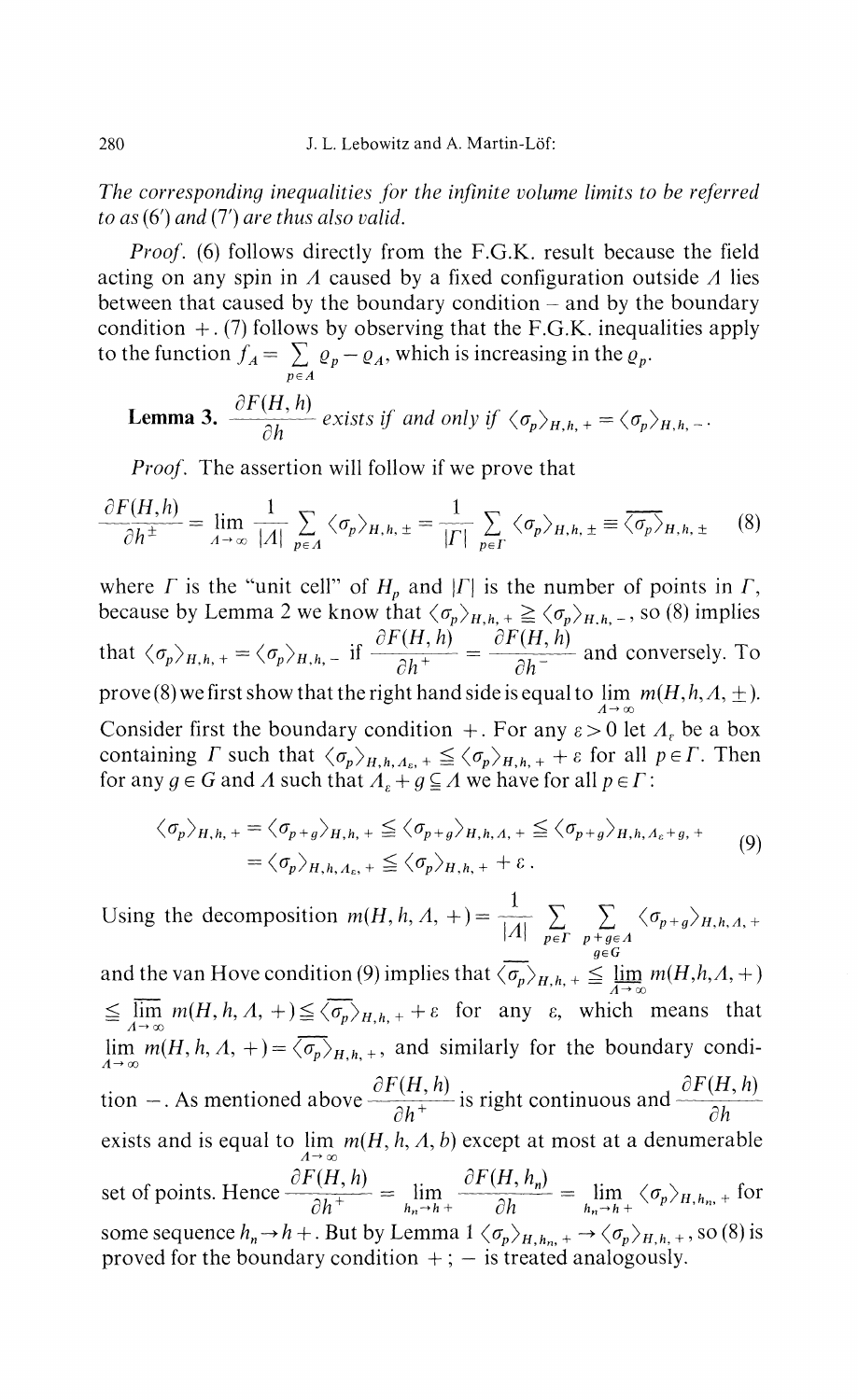*The corresponding inequalities for the infinite volume limits to be referred to as* (6') *and* (7') *are thus also valid.*

*Proof.* (6) follows directly from the F.G.K. result because the field acting on any spin in *A* caused by a fixed configuration outside *A* lies between that caused by the boundary condition — and by the boundary condition  $+$ . (7) follows by observing that the F.G.K. inequalities apply to the function  $f_A = \sum \varrho_p - \varrho_A$ , which is increasing in the  $\varrho_p$ . *peA*

**Lemma 3.** 
$$
\frac{\partial F(H, h)}{\partial h}
$$
 exists if and only if  $\langle \sigma_p \rangle_{H, h, +} = \langle \sigma_p \rangle_{H, h, -}$ 

*Proof.* The assertion will follow if we prove that

$$
\frac{\partial F(H,h)}{\partial h^{\pm}} = \lim_{A \to \infty} \frac{1}{|A|} \sum_{p \in A} \langle \sigma_p \rangle_{H,h,\pm} = \frac{1}{|I|} \sum_{p \in I} \langle \sigma_p \rangle_{H,h,\pm} \equiv \overline{\langle \sigma_p \rangle}_{H,h,\pm} \quad (8)
$$

where *Γ* is the "unit cell" of  $H_p$  and  $|{\Gamma}|$  is the number of points in  $\Gamma$ , because by Lemma 2 we know that  $\langle \sigma_p \rangle_{H,h,+} \geq \langle \sigma_p \rangle_{H,h,-}$ , so (8) i that  $\langle \sigma_p \rangle_{H, h, +} = \langle \sigma_p \rangle_{H, h, -}$  if  $\frac{\partial F}{\partial h^+} = \frac{\partial F}{\partial h^-}$  and conversely. To prove (8) we first show that the right hand side is equal to  $\lim m(H,h,A,\pm)$ . Consider first the boundary condition +. For any  $\varepsilon > 0$  let  $\Lambda_{\varepsilon}$  be a box containing Γ such that  $\langle \sigma_p \rangle_{H,h,A_s} \leq \langle \sigma_p \rangle_{H,h,+} + \varepsilon$  for all  $p \in \Gamma$ . Then for any  $g \in G$  and  $\Lambda$  such that  $A_{\varepsilon} + g \subseteq \Lambda$  we have for all  $p \in \Gamma$ :

$$
\langle \sigma_p \rangle_{H,h,+} = \langle \sigma_{p+g} \rangle_{H,h,+} \leq \langle \sigma_{p+g} \rangle_{H,h,A,+} \leq \langle \sigma_{p+g} \rangle_{H,h,A_c+g,+}
$$
  
=  $\langle \sigma_p \rangle_{H,h,A_c,+} \leq \langle \sigma_p \rangle_{H,h,+} + \varepsilon$ . (9)

Using the decomposition  $m(H, h, A, +)=$   $\frac{2}{|A|}$   $\sum_{p \in P} \sum_{p+g \in A} \langle \sigma_{p+g} \rangle_{H, h, A, +}$ and the van Hove condition (9) implies that  $\langle \overline{\sigma_p} \rangle_{H,h,+} \leqq \lim_{A \to \infty} m(H,h,A,+)$ and the van Hove condition (9) implies that  $\langle \sigma_p / H, h \rangle + \frac{1}{2} \frac{\ln n}{A \to \infty} m(H, h, A, \gamma)$  $\cong$   $\lim_{A\to\infty} m(n, n, 2, +) \cong \sqrt{p}/H, h, + + \epsilon$  for any  $\epsilon$ , which means that lim  $m(H, h, A, +)=\langle \overline{\sigma_p} \rangle_{H, h,+}$ , and similarly for the boundary condi- $\lambda_1 \rightarrow \infty$ <br>  $\lambda_2 \rightarrow \infty$   $\lambda_3 \rightarrow \infty$   $\lambda_4 \rightarrow \infty$ 

ioned above  $\frac{\partial F(H, h)}{\partial n}$  is right continuous and tion –. As mentioned above  $\frac{a}{\partial h^+}$  is right continuous and exists and is equal to  $\lim_{m(H, h, \Lambda, b)}$  except at most at a denumerable set of points. Hence  $\frac{\partial F(t, h)}{\partial h} = \lim_{h \to 0^+} \frac{\partial F(t, h)}{\partial h} = \lim_{h \to 0^+} \langle \sigma_p \rangle_{H, h_n}$  for *oh*  $h_n \rightarrow h +$  *oh*  $h_n \rightarrow h +$ some sequence  $h_n \to h +$ . But by Lemma 1  $\langle \sigma_p \rangle_{H, h_n}$ ,  $\to \langle \sigma_p \rangle_{H, h, +}$ , so (8) is proved for the boundary condition  $+$ ;  $-$  is treated analogously.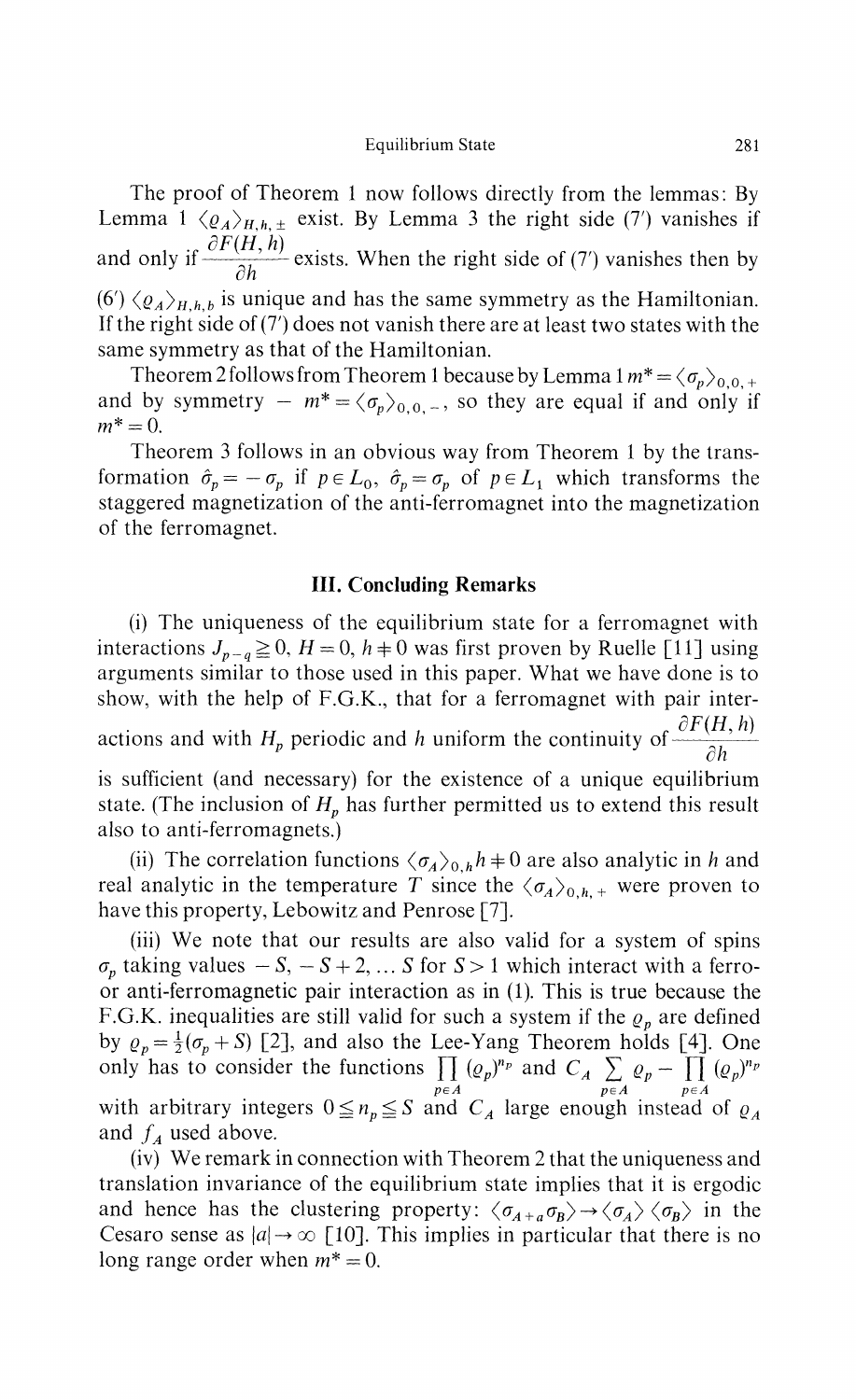The proof of Theorem 1 now follows directly from the lemmas: By Lemma 1  $\langle \varrho_A \rangle_{H,h,\pm}$  exist. By Lemma 3 the right side (7') vanishes if and only if  $\frac{\partial F}{\partial h}$  exists. When the right side of (7) vanishes then by  $(6')$   $\langle \varrho_A \rangle_{H,h,b}$  is unique and has the same symmetry as the Hamiltonian. If the right side of (7') does not vanish there are at least two states with the same symmetry as that of the Hamiltonian.

Theorem 2 follows from Theorem 1 because by Lemma  $1 m^* = \langle \sigma_p \rangle_{0,0,+}$ and by symmetry  $-m^* = \langle \sigma_p \rangle_{0,0,-}$ , so they are equal if and only if  $m^* = 0$ .

Theorem 3 follows in an obvious way from Theorem 1 by the trans formation  $\hat{\sigma}_p = -\sigma_p$  if  $p \in L_0$ ,  $\hat{\sigma}_p = \sigma_p$  of  $p \in L_1$  which transforms the staggered magnetization of the anti-ferromagnet into the magnetization of the ferromagnet.

## **III. Concluding Remarks**

(i) The uniqueness of the equilibrium state for a ferromagnet with interactions  $J_{p-q} \ge 0$ ,  $H = 0$ ,  $h \ne 0$  was first proven by Ruelle [11] using arguments similar to those used in this paper. What we have done is to show, with the help of F.G.K., that for a ferromagnet with pair inter actions and with  $H_p$  periodic and *h* uniform the continuity of  $\frac{\partial H}{\partial h}$ 

is sufficient (and necessary) for the existence of a unique equilibrium state. (The inclusion of *H<sup>p</sup>* has further permitted us to extend this result also to anti-ferromagnets.)

(ii) The correlation functions  $\langle \sigma_A \rangle_{0,h} h = 0$  are also analytic in *h* and real analytic in the temperature T since the  $\langle \sigma_A \rangle_{0,h,+}$  were proven to have this property, Lebowitz and Penrose [7].

(iii) We note that our results are also valid for a system of spins *p* taking values  $-S$ ,  $-S+2$ ,...*S* for  $S > 1$  which interact with a ferro or anti-ferromagnetic pair interaction as in (1). This is true because the F.G.K. inequalities are still valid for such a system if the *ρ<sup>p</sup>* are defined by  $\rho_p = \frac{1}{2}(\sigma_p + S)$  [2], and also the Lee-Yang Theorem holds [4]. One only has to consider the functions  $\prod_{p} (Q_p)^{n_p}$  and  $C_A \sum_{p} Q_p - \prod_{p} (Q_p)^{n_p}$  $p \in A$   $p \in A$   $p \in A$ with arbitrary integers  $0 \leq n_p \leq S$  and  $C_A$  large enough instead of  $\rho_A$ and  $f_A$  used above.

(iv) We remark in connection with Theorem 2 that the uniqueness and translation invariance of the equilibrium state implies that it is ergodic and hence has the clustering property:  $\langle \sigma_{A+a} \sigma_B \rangle \rightarrow \langle \sigma_A \rangle \langle \sigma_B \rangle$  in the Cesaro sense as  $|a| \rightarrow \infty$  [10]. This implies in particular that there is no long range order when  $m^* = 0$ .